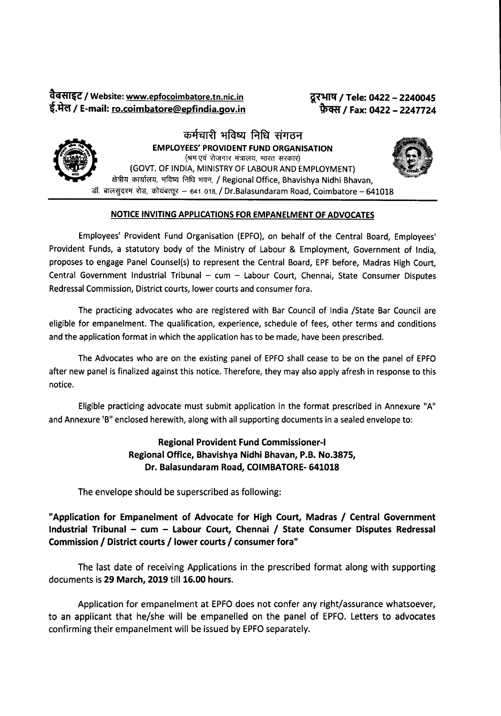aCSl~'II'C *I* Website: www.epfocoimbatore.tn.nic.in f.1Rr *I* E-mail: ro.coimbatore@epfindia.gov.in

*~ I* Tele: <sup>0422</sup> - <sup>2240045</sup> *~ I* Fax: <sup>0422</sup> - <sup>2247724</sup>



कर्मचारी भविष्य निधि संगठन EMPLOYEES'PROVIDENT FUND ORGANISATION (श्रम एवं रोजगार मंत्रालय, भारत सरकार) (GOVT. OF INDIA, MINISTRY OF LABOUR AND EMPLOYMENT) क्षेत्रीय कार्यालय, भविष्य निधि भवन, / Regional Office, Bhavishya Nidhi Bhavan, डॉ. बालसुंदरम रोड, कोयंबत्तूर - 641 018, / Dr.Balasundaram Road, Coimbatore - 641018

### NOTICE INVITING APPLICATIONS FOR EMPANELMENT OF ADVOCATES

Employees' Provident Fund Organisation (EPFO), on behalf of the Central Board, Employees' Provident Funds, a statutory body of the Ministry of Labour & Employment, Government of India, proposes to engage Panel Counsel(s) to represent the Central Board, EPF before, Madras High Court, Central Government Industrial Tribunal - cum - Labour Court, Chennai, State Consumer Disputes Redressal Commission, District courts, lower courts and consumer fora.

The practicing advocates who are registered with Bar Council of India /State Bar Council are eligible for empanelment. The qualification, experience, schedule of fees, other terms and conditions and the application format in which the application has to be made, have been prescribed.

The Advocates who are on the existing panel of EPFO shall cease to be on the panel of EPFO after new panel is finalized against this notice. Therefore, they may also apply afresh in response to this notice.

Eligible practicing advocate must submit application in the format prescribed in Annexure "A" and Annexure 'B" enclosed herewith, along with all supporting documents in a sealed envelope to:

# Regional Provident Fund Commissioner-I Regional Office, Bhavishya Nidhi Bhavan, P.B. No.3875, Dr. Balasundaram Road, COIMBATORE-641018

The envelope should be superscribed as following:

"Application for Empanelment of Advocate for High Court, Madras / Central Government Industrial Tribunal - cum - Labour Court, Chennai / State Consumer Disputes Redressal Commission / District courts / lower courts / consumer fora"

The last date of receiving Applications in the prescribed format along with supporting documents is 29 March, 2019 till 16.00 hours.

Application for empanelment at EPFO does not confer any right/assurance whatsoever, to an applicant that he/she will be empanelled on the panel of EPFO. Letters to advocates confirming their empanelment will be issued by EPFO separately.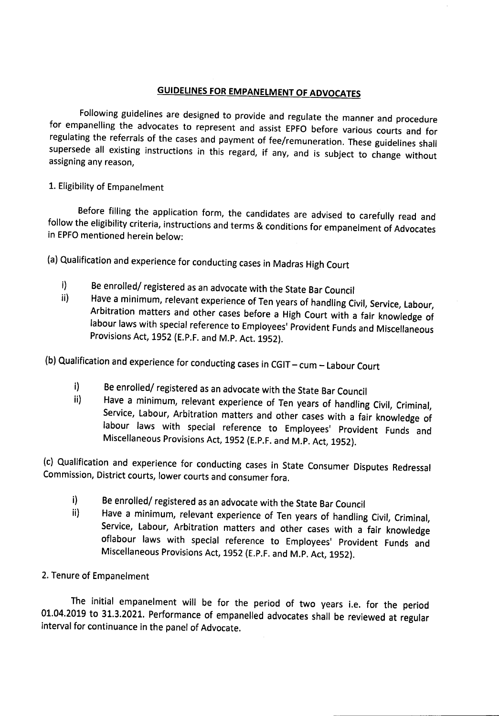# **GUIDELINES FOR EMPANELMENT OF ADVOCATES**

Following guidelines are designed to provide and regulate the manner and procedure for empanelling the advocates to represent and assist EPFO before various courts and for regulating the referrals of the cases and payment of fee/remuneration. These guidelines shall supersede all existing instructions in this regard, if any, and is subject to change without assigning any reason,

## 1. Eligibility of Empanelment

Before filling the application form, the candidates are advised to carefully read and follow the eligibility criteria, instructions and terms & conditions for empanelment of Advocates in EPFO mentioned herein below:

- (a) Qualification and experience for conducting cases in Madras High Court
	- i) Be enrolled/ registered as an advocate with the State Bar Council<br>ii) Have a minimum, relevant experience of Ten voars of bandling Gi
	- Have a minimum, relevant experience of Ten years of handling Civil, Service, Labour, Arbitration matters and other cases before a High Court with a fair knowledge of labour laws with special reference to Employees' Provident Funds and Miscellaneous Provisions Act, 1952 (E.P.F. and M.P. Act. 1952).
- (b) Qualification and experience for conducting cases in CGIT cum Labour Court
	- i) Be enrolled/ registered as an advocate with the State Bar Council<br>ii) Have a minimum, relevant experience of Ten voors of bandling
	- Have a minimum, relevant experience of Ten years of handling Civil, Criminal, Service, Labour, Arbitration matters and other cases with a fair knowledge of labour laws with special reference to Employees' Provident Funds and Miscellaneous Provisions Act, 1952 (E.P.F. and M.P. Act, 1952).

(c) Qualification and experience for conducting cases in State Consumer Disputes Redressal Commission, District courts, lower courts and consumer fora.

- i) Be enrolled/ registered as an advocate with the State Bar Council<br>ii) Have a minimum, relevant experience of Ten voars of bandling
- Have a minimum, relevant experience of Ten years of handling Civil, Criminal, Service, Labour, Arbitration matters and other cases with a fair knowledge oflabour laws with special reference to Employees' Provident Funds and Miscellaneous Provisions Act, 1952 (E.P.F. and M.P. Act, 1952).

## 2. Tenure of Empanelment

The initial empanelment will be for the period of two years i.e. for the period 01.04.2019 to 31.3.2021. Performance of empanelled advocates shall be reviewed at regular interval for continuance in the panel of Advocate.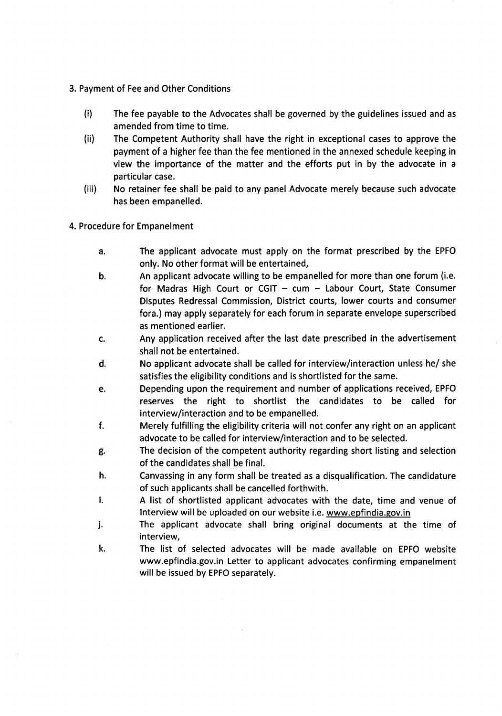- 3. Payment of Feeand Other Conditions
	- (i) The fee payable to the Advocates shall be governed by the guidelines issued and as amended from time to time.
	- (ii) The Competent Authority shall have the right in exceptional casesto approve the payment of a higher fee than the fee mentioned in the annexed schedule keeping in view the importance of the matter and the efforts put in by the advocate in a particular case.
	- (iii) No retainer fee shall be paid to any panel Advocate merely because such advocate has been empanelled.
- 4. Procedure for Empanelment
	- a. The applicant advocate must apply on the format prescribed by the EPFO only. No other format will be entertained,
	- b. An applicant advocate willing to be empanelled for more than one forum (i.e, for Madras High Court or CGIT  $-$  cum  $-$  Labour Court, State Consumer Disputes Redressal Commission, District courts, lower courts and consumer fora.) may apply separately for each forum in separate envelope superscribed as mentioned earlier.
	- c. Any application received after the last date prescribed in the advertisement shall not be entertained.
	- d. No applicant advocate shall be called for interview/interaction unlesshe/ she satisfies the eligibility conditions and is shortlisted for the same.
	- e. Depending upon the requirement and number of applications received, EPFO reserves the right to shortlist the candidates to be called for interview/interaction and to be empanelled.
	- f. Merely fulfilling the eligibility criteria will not confer any right on an applicant advocate to be called for interview/interaction and to be selected.
	- g. The decision of the competent authority regarding short listing and selection of the candidates shall be final.
	- h. Canvassing in any form shall be treated as a disqualification. The candidature of such applicants shall be cancelled forthwith.
	- i. A list of shortlisted applicant advocates with the date, time and venue of Interview will be uploaded on our website i.e. www.epfindia.gov.in
	- j. The applicant advocate shall bring original documents at the time of interview,
	- k. The list of selected advocates will be made available on EPFOwebsite www.epfindia.gov.in Letter to applicant advocates confirming empanelment will be issued by EPFO separately.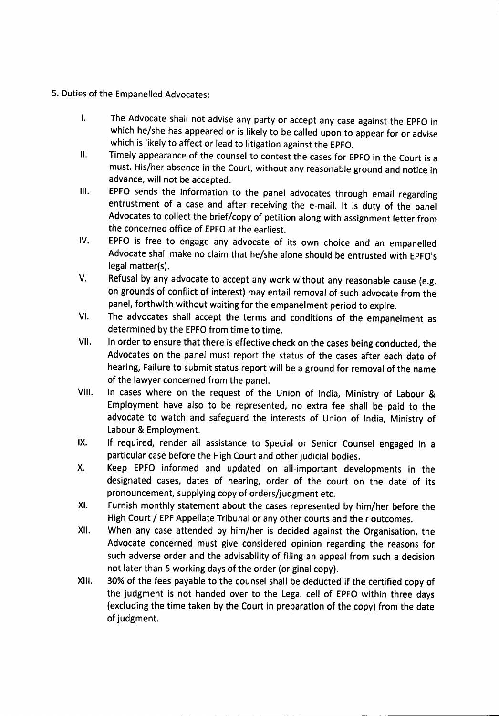- 5. Duties of the Empanelled Advocates:
	- I. The Advocate shall not advise any party or accept any case against the EPFO in which he/she has appeared or is likely to be called upon to appear for or advise which is likely to affect or lead to litigation against the EPFO.
	- II. Timely appearance of the counsel to contest the cases for EPFO in the Court is a must. His/her absence in the Court, without any reasonable ground and notice in advance, will not be accepted.
	- III. EPFO sends the information to the panel advocates through email regarding entrustment of a case and after receiving the e-mail. It is duty of the panel Advocates to collect the brief/copy of petition along with assignment letter from the concerned office of EPFO at the earliest.
	- IV. EPFO is free to engage any advocate of its own choice and an empanelled Advocate shall make no claim that he/she alone should be entrusted with EPFO's legal matter(s).
	- V. Refusal by any advocate to accept any work without any reasonable cause (e.g. on grounds of conflict of interest) may entail removal of such advocate from the panel, forthwith without waiting for the empanelment period to expire.
	- VI. The advocates shall accept the terms and conditions of the empanelment as determined by the EPFO from time to time.
	- VII. In order to ensure that there is effective check on the cases being conducted, the Advocates on the panel must report the status of the cases after each date of hearing, Failure to submit status report will be a ground for removal of the name of the lawyer concerned from the panel.
	- VIII. In cases where on the request of the Union of India, Ministry of Labour & Employment have also to be represented, no extra fee shall be paid to the advocate to watch and safeguard the interests of Union of India, Ministry of Labour & Employment.
	- IX. If required, render all assistance to Special or Senior Counsel engaged in a particular case before the High Court and other judicial bodies.
	- X. Keep EPFO informed and updated on all-important developments in the designated cases, dates of hearing, order of the court on the date of its pronouncement, supplying copy of orders/judgment etc.
	- XI. Furnish monthly statement about the cases represented by him/her before the High Court / EPF Appellate Tribunal or any other courts and their outcomes.
	- XII. When any case attended by him/her is decided against the Organisation, the Advocate concerned must give considered opinion regarding the reasons for such adverse order and the advisability of filing an appeal from such a decision not later than 5 working days of the order (original copy).
	- XIII. 30% of the fees payable to the counsel shall be deducted if the certified copy of the judgment is not handed over to the Legal cell of EPFOwithin three days (excluding the time taken by the Court in preparation of the copy) from the date of judgment.

-- -- -------------------------------------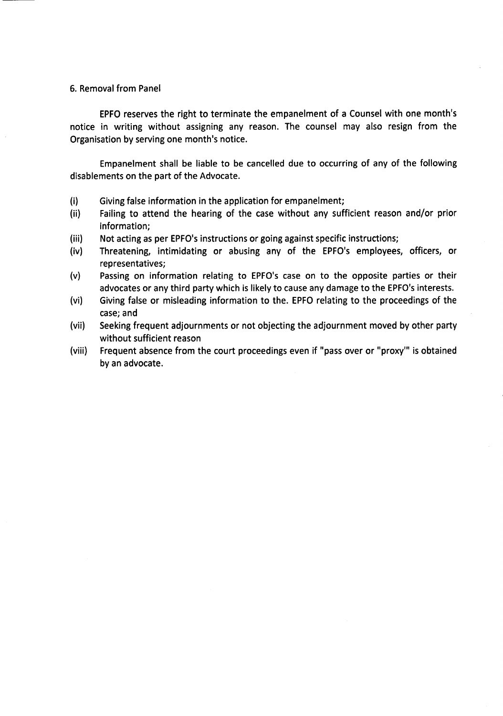#### 6. Removal from Panel

EPFO reserves the right to terminate the empanelment of a Counsel with one month's notice in writing without assigning any reason. The counsel may also resign from the Organisation by serving one month's notice.

Empanelment shall be liable to be cancelled due to occurring of any of the following disablements on the part of the Advocate.

- (i) Giving false information in the application for empanelment;
- (ii) Failing to attend the hearing of the case without any sufficient reason and/or prior information;
- (iii) Not acting as per EPFO's instructions or going against specific instructions;
- (iv) Threatening, intimidating or abusing any of the EPFO's employees, officers, or representatives;
- (v) Passing on information relating to EPFO's case on to the opposite parties or their advocates or any third party which is likely to cause any damage to the EPFO's interests.
- (vi) Giving false or misleading information to the. EPFO relating to the proceedings of the case; and
- (vii) Seeking frequent adjournments or not objecting the adjournment moved by other party without sufficient reason
- (viii) Frequent absence from the court proceedings even if "pass over or "proxy'" is obtained by an advocate.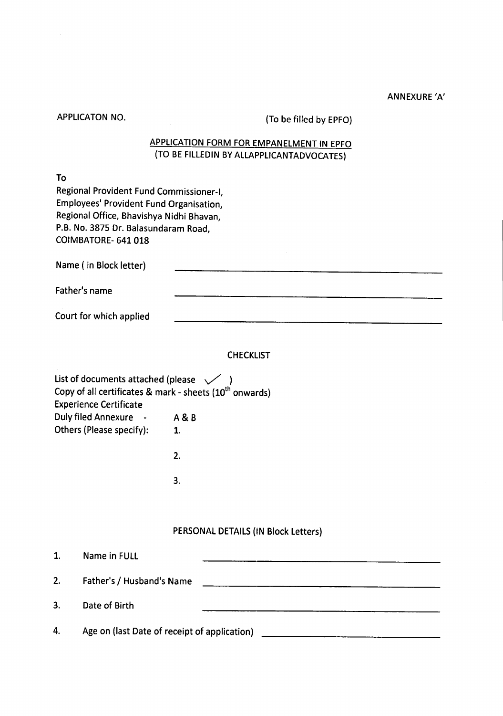### ANNEXURE *'A'*

| <b>APPLICATON NO.</b>                                                                                                                                                                                              | (To be filled by EPFO)                                                           |  |  |  |
|--------------------------------------------------------------------------------------------------------------------------------------------------------------------------------------------------------------------|----------------------------------------------------------------------------------|--|--|--|
| <b>APPLICATION FORM FOR EMPANELMENT IN EPFO</b><br>(TO BE FILLEDIN BY ALLAPPLICANTADVOCATES)                                                                                                                       |                                                                                  |  |  |  |
| To<br>Regional Provident Fund Commissioner-I,<br>Employees' Provident Fund Organisation,<br>Regional Office, Bhavishya Nidhi Bhavan,<br>P.B. No. 3875 Dr. Balasundaram Road.<br>COIMBATORE- 641 018                |                                                                                  |  |  |  |
| Name (in Block letter)                                                                                                                                                                                             |                                                                                  |  |  |  |
| Father's name                                                                                                                                                                                                      |                                                                                  |  |  |  |
| Court for which applied                                                                                                                                                                                            |                                                                                  |  |  |  |
| List of documents attached (please $\sqrt{ }$ )<br>Copy of all certificates & mark - sheets (10 <sup>th</sup> onwards)<br><b>Experience Certificate</b><br>Duly filed Annexure - A & B<br>Others (Please specify): | <b>CHECKLIST</b><br>1.<br>2.<br>3.                                               |  |  |  |
|                                                                                                                                                                                                                    | PERSONAL DETAILS (IN Block Letters)                                              |  |  |  |
| 1.<br>Name in FULL                                                                                                                                                                                                 |                                                                                  |  |  |  |
| 2.                                                                                                                                                                                                                 | Father's / Husband's Name                                                        |  |  |  |
| Date of Birth<br>3.                                                                                                                                                                                                |                                                                                  |  |  |  |
| 4.                                                                                                                                                                                                                 | Age on (last Date of receipt of application) ___________________________________ |  |  |  |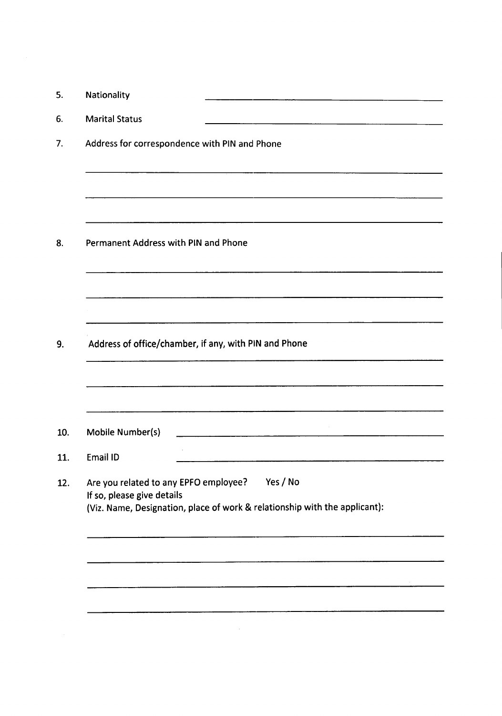|          | Nationality                                                                     |
|----------|---------------------------------------------------------------------------------|
|          | <b>Marital Status</b>                                                           |
|          | Address for correspondence with PIN and Phone                                   |
|          |                                                                                 |
|          | Permanent Address with PIN and Phone                                            |
|          |                                                                                 |
|          |                                                                                 |
|          | Address of office/chamber, if any, with PIN and Phone                           |
|          |                                                                                 |
|          |                                                                                 |
|          | Mobile Number(s)                                                                |
| Email ID |                                                                                 |
|          | Are you related to any EPFO employee?<br>Yes / No<br>If so, please give details |
|          | (Viz. Name, Designation, place of work & relationship with the applicant):      |
|          |                                                                                 |
|          |                                                                                 |
|          |                                                                                 |
|          |                                                                                 |
|          |                                                                                 |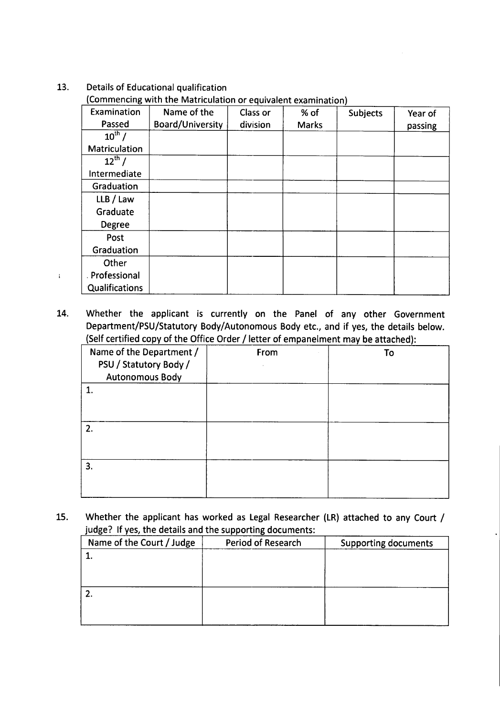## 13. Details of Educational qualification

 $\mathbf{i}$ 

(Commencing with the Matriculation or equivalent examination)

| Examination    | Name of the             | Class or | % of         | <b>Subjects</b> | Year of |
|----------------|-------------------------|----------|--------------|-----------------|---------|
| Passed         | <b>Board/University</b> | division | <b>Marks</b> |                 | passing |
| $10^{th}$ /    |                         |          |              |                 |         |
| Matriculation  |                         |          |              |                 |         |
| $12^{th}$ /    |                         |          |              |                 |         |
| Intermediate   |                         |          |              |                 |         |
| Graduation     |                         |          |              |                 |         |
| LLB / Law      |                         |          |              |                 |         |
| Graduate       |                         |          |              |                 |         |
| Degree         |                         |          |              |                 |         |
| Post           |                         |          |              |                 |         |
| Graduation     |                         |          |              |                 |         |
| Other          |                         |          |              |                 |         |
| . Professional |                         |          |              |                 |         |
| Qualifications |                         |          |              |                 |         |

14. Whether the applicant is currently on the Panel of any other Government Department/PSU/Statutory Body/Autonomous Body etc., and if yes, the details below. (Self certified copy of the Office Order / letter of empanelment may be attached):

| Name of the Department /<br>PSU / Statutory Body /<br><b>Autonomous Body</b> | From | To |
|------------------------------------------------------------------------------|------|----|
|                                                                              |      |    |
|                                                                              |      |    |
| 3.                                                                           |      |    |

15. Whether the applicant has worked as Legal Researcher (LR) attached to any Court / judge? If yes, the details and the supporting documents:

| Name of the Court / Judge | <b>Period of Research</b> | <b>Supporting documents</b> |
|---------------------------|---------------------------|-----------------------------|
|                           |                           |                             |
|                           |                           |                             |
|                           |                           |                             |
|                           |                           |                             |
|                           |                           |                             |
|                           |                           |                             |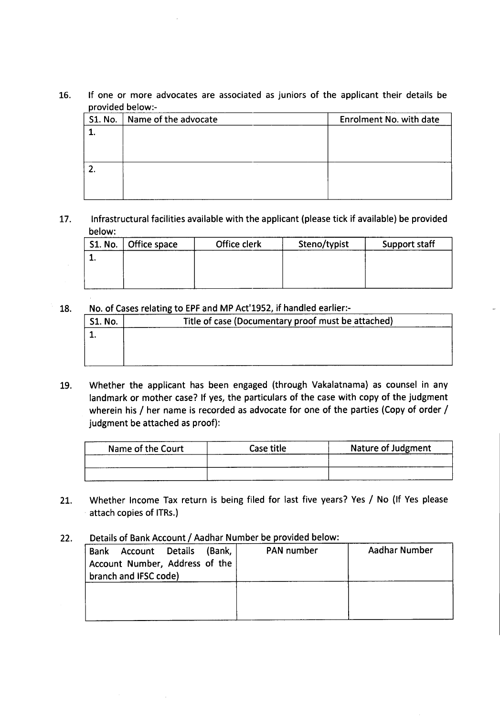# 16. If one or more advocates are associated as juniors of the applicant their details be provided below:-

| S1. No.   Name of the advocate | Enrolment No. with date |
|--------------------------------|-------------------------|
|                                |                         |
|                                |                         |
|                                |                         |
|                                |                         |
|                                |                         |
|                                |                         |

## 17. Infrastructural facilities available with the applicant (please tick if available) be provided below:

| S1. No.   Office space | Office clerk | Steno/typist | Support staff |
|------------------------|--------------|--------------|---------------|
|                        |              |              |               |
|                        |              |              |               |
|                        |              |              |               |
|                        |              |              |               |

### 18. No. of Cases relating to EPF and MP Act'1952, if handled earlier:-

| <b>S1. No.</b> | Title of case (Documentary proof must be attached) |  |
|----------------|----------------------------------------------------|--|
|                |                                                    |  |
|                |                                                    |  |
|                |                                                    |  |

19. Whether the applicant has been engaged (through Vakalatnama) as counsel in any landmark or mother case? If yes, the particulars of the case with copy of the judgment wherein his / her name is recorded as advocate for one of the parties (Copy of order / judgment be attached as proof):

| Name of the Court | Case title | <b>Nature of Judgment</b> |
|-------------------|------------|---------------------------|
|                   |            |                           |
|                   |            |                           |

- 21. Whether Income Tax return is being filed for last five years? Yes / No (If Yes please attach copies of ITRs.)
- 22. Details of Bank Account / Aadhar Number be provided below:

| (Bank,<br>Account Details<br><b>Bank</b><br>Account Number, Address of the<br>branch and IFSC code) | <b>PAN</b> number | Aadhar Number |
|-----------------------------------------------------------------------------------------------------|-------------------|---------------|
|                                                                                                     |                   |               |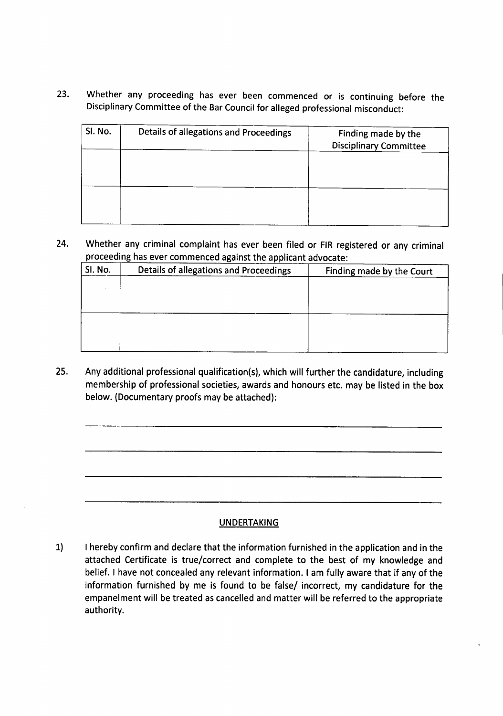23. Whether any proceeding has ever been commenced or is continuing before the Disciplinary Committee of the Bar Council for alleged professional misconduct:

| SI. No. | Details of allegations and Proceedings | Finding made by the<br><b>Disciplinary Committee</b> |
|---------|----------------------------------------|------------------------------------------------------|
|         |                                        |                                                      |
|         |                                        |                                                      |

24. Whether any criminal complaint has ever been filed or FIR registered or any criminal proceeding has ever commenced against the applicant advocate:

| SI. No. | Details of allegations and Proceedings | Finding made by the Court |
|---------|----------------------------------------|---------------------------|
|         |                                        |                           |
|         |                                        |                           |
|         |                                        |                           |
|         |                                        |                           |
|         |                                        |                           |
|         |                                        |                           |

25. Any additional professional qualification(s), which will further the candidature, including membership of professional societies, awards and honours etc. may be listed in the box below. (Documentary proofs may be attached):

#### **UNDERTAKING**

1) I hereby confirm and declare that the information furnished in the application and in the attached Certificate is true/correct and complete to the best of my knowledge and belief. I have not concealed any relevant information. I am fully aware that if any of the information furnished by me is found to be false/ incorrect, my candidature for the empanelment will be treated as cancelled and matter will be referred to the appropriate authority.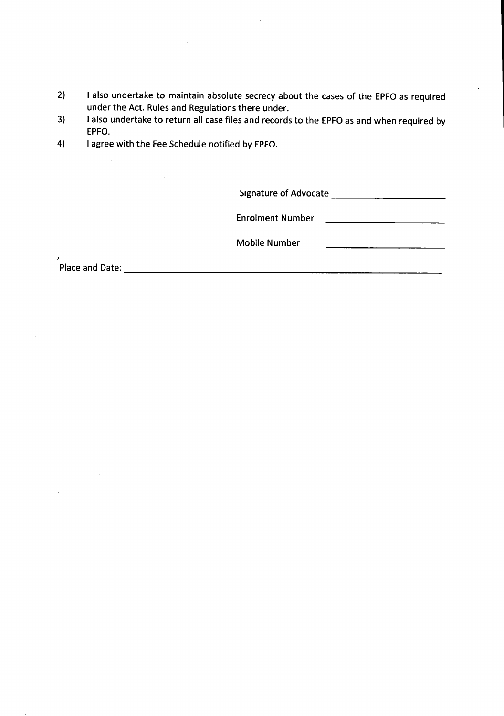- 2) I also undertake to maintain absolute secrecy about the cases of the EPFO as required under the Act. Rules and Regulations there under.
- 3) I also undertake to return all case files and records to the EPFO as and when required by EPFO.
- 4) I agree with the Fee Schedule notified by EPFO.

Signature of Advocate \_

Enrolment Number

Mobile Number

Placeand Date: \_